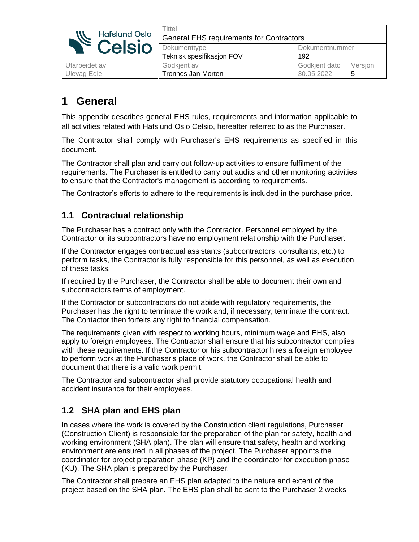| <b>Hafslund Oslo</b><br><b>Example Hafslund Oslo</b> | Tittel<br><b>General EHS requirements for Contractors</b> |                |         |  |
|------------------------------------------------------|-----------------------------------------------------------|----------------|---------|--|
|                                                      | Dokumenttype                                              | Dokumentnummer |         |  |
|                                                      | Teknisk spesifikasjon FOV                                 | 192            |         |  |
| Utarbeidet av                                        | Godkjent av                                               | Godkjent dato  | Versjon |  |
| Ulevag Edle                                          | Tronnes Jan Morten                                        | 30.05.2022     |         |  |

# **1 General**

This appendix describes general EHS rules, requirements and information applicable to all activities related with Hafslund Oslo Celsio, hereafter referred to as the Purchaser.

The Contractor shall comply with Purchaser's EHS requirements as specified in this document.

The Contractor shall plan and carry out follow-up activities to ensure fulfilment of the requirements. The Purchaser is entitled to carry out audits and other monitoring activities to ensure that the Contractor's management is according to requirements.

The Contractor's efforts to adhere to the requirements is included in the purchase price.

## **1.1 Contractual relationship**

The Purchaser has a contract only with the Contractor. Personnel employed by the Contractor or its subcontractors have no employment relationship with the Purchaser.

If the Contractor engages contractual assistants (subcontractors, consultants, etc.) to perform tasks, the Contractor is fully responsible for this personnel, as well as execution of these tasks.

If required by the Purchaser, the Contractor shall be able to document their own and subcontractors terms of employment.

If the Contractor or subcontractors do not abide with regulatory requirements, the Purchaser has the right to terminate the work and, if necessary, terminate the contract. The Contactor then forfeits any right to financial compensation.

The requirements given with respect to working hours, minimum wage and EHS, also apply to foreign employees. The Contractor shall ensure that his subcontractor complies with these requirements. If the Contractor or his subcontractor hires a foreign employee to perform work at the Purchaser's place of work, the Contractor shall be able to document that there is a valid work permit.

The Contractor and subcontractor shall provide statutory occupational health and accident insurance for their employees.

# **1.2 SHA plan and EHS plan**

In cases where the work is covered by the Construction client regulations, Purchaser (Construction Client) is responsible for the preparation of the plan for safety, health and working environment (SHA plan). The plan will ensure that safety, health and working environment are ensured in all phases of the project. The Purchaser appoints the coordinator for project preparation phase (KP) and the coordinator for execution phase (KU). The SHA plan is prepared by the Purchaser.

The Contractor shall prepare an EHS plan adapted to the nature and extent of the project based on the SHA plan. The EHS plan shall be sent to the Purchaser 2 weeks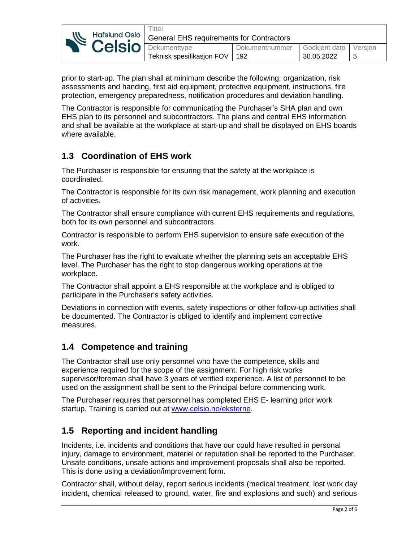| <b>NE POISIO DOKUMENTARYPE</b> | `ittel<br>Hafslund Oslo   General EHS requirements for Contractors |                                 |                |                         |   |
|--------------------------------|--------------------------------------------------------------------|---------------------------------|----------------|-------------------------|---|
|                                |                                                                    |                                 | Dokumentnummer | Godkjent dato   Versjon |   |
|                                |                                                                    | Teknisk spesifikasjon FOV   192 |                | 30.05.2022              | 5 |

prior to start-up. The plan shall at minimum describe the following; organization, risk assessments and handing, first aid equipment, protective equipment, instructions, fire protection, emergency preparedness, notification procedures and deviation handling.

The Contractor is responsible for communicating the Purchaser's SHA plan and own EHS plan to its personnel and subcontractors. The plans and central EHS information and shall be available at the workplace at start-up and shall be displayed on EHS boards where available.

# **1.3 Coordination of EHS work**

The Purchaser is responsible for ensuring that the safety at the workplace is coordinated.

The Contractor is responsible for its own risk management, work planning and execution of activities.

The Contractor shall ensure compliance with current EHS requirements and regulations, both for its own personnel and subcontractors.

Contractor is responsible to perform EHS supervision to ensure safe execution of the work.

The Purchaser has the right to evaluate whether the planning sets an acceptable EHS level. The Purchaser has the right to stop dangerous working operations at the workplace.

The Contractor shall appoint a EHS responsible at the workplace and is obliged to participate in the Purchaser's safety activities.

Deviations in connection with events, safety inspections or other follow-up activities shall be documented. The Contractor is obliged to identify and implement corrective measures.

## **1.4 Competence and training**

The Contractor shall use only personnel who have the competence, skills and experience required for the scope of the assignment. For high risk works supervisor/foreman shall have 3 years of verified experience. A list of personnel to be used on the assignment shall be sent to the Principal before commencing work.

The Purchaser requires that personnel has completed EHS E- learning prior work startup. Training is carried out at [www.celsio.no/eksterne.](http://www.celsio.no/eksterne)

## **1.5 Reporting and incident handling**

Incidents, i.e. incidents and conditions that have our could have resulted in personal injury, damage to environment, materiel or reputation shall be reported to the Purchaser. Unsafe conditions, unsafe actions and improvement proposals shall also be reported. This is done using a deviation/improvement form.

Contractor shall, without delay, report serious incidents (medical treatment, lost work day incident, chemical released to ground, water, fire and explosions and such) and serious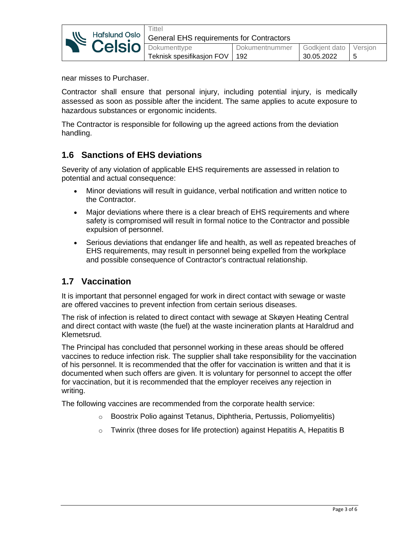| <b>NE HOISIG DOKUMENTIVE</b> | -ittel                                                   |                                 |                |               |         |
|------------------------------|----------------------------------------------------------|---------------------------------|----------------|---------------|---------|
|                              | Hafslund Oslo   General EHS requirements for Contractors |                                 |                |               |         |
|                              |                                                          |                                 | Dokumentnummer | Godkient dato | Version |
|                              |                                                          | Teknisk spesifikasjon FOV   192 |                | 30.05.2022    | b       |

near misses to Purchaser.

Contractor shall ensure that personal injury, including potential injury, is medically assessed as soon as possible after the incident. The same applies to acute exposure to hazardous substances or ergonomic incidents.

The Contractor is responsible for following up the agreed actions from the deviation handling.

## **1.6 Sanctions of EHS deviations**

Severity of any violation of applicable EHS requirements are assessed in relation to potential and actual consequence:

- Minor deviations will result in guidance, verbal notification and written notice to the Contractor.
- Major deviations where there is a clear breach of EHS requirements and where safety is compromised will result in formal notice to the Contractor and possible expulsion of personnel.
- Serious deviations that endanger life and health, as well as repeated breaches of EHS requirements, may result in personnel being expelled from the workplace and possible consequence of Contractor's contractual relationship.

## **1.7 Vaccination**

It is important that personnel engaged for work in direct contact with sewage or waste are offered vaccines to prevent infection from certain serious diseases.

The risk of infection is related to direct contact with sewage at Skøyen Heating Central and direct contact with waste (the fuel) at the waste incineration plants at Haraldrud and Klemetsrud.

The Principal has concluded that personnel working in these areas should be offered vaccines to reduce infection risk. The supplier shall take responsibility for the vaccination of his personnel. It is recommended that the offer for vaccination is written and that it is documented when such offers are given. It is voluntary for personnel to accept the offer for vaccination, but it is recommended that the employer receives any rejection in writing.

The following vaccines are recommended from the corporate health service:

- o Boostrix Polio against Tetanus, Diphtheria, Pertussis, Poliomyelitis)
- $\circ$  Twinrix (three doses for life protection) against Hepatitis A, Hepatitis B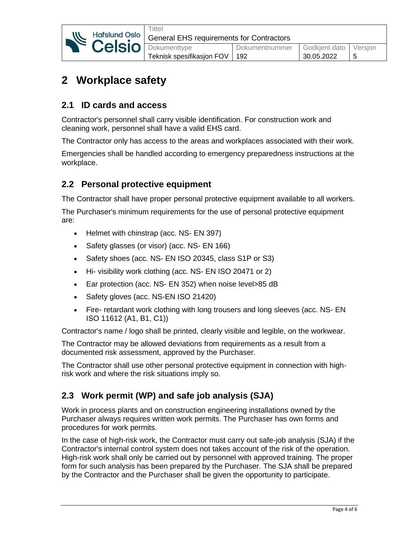|  | <b>NE POLICIÓ DOKUMENTADE</b> | <b>Tittel</b><br>Hafslund Oslo   General EHS requirements for Contractors |                               |                                     |  |  |
|--|-------------------------------|---------------------------------------------------------------------------|-------------------------------|-------------------------------------|--|--|
|  |                               | Teknisk spesifikasjon FOV                                                 | Dokumentnummer<br>$\vert$ 192 | Godkjent dato Versjon<br>30.05.2022 |  |  |

# **2 Workplace safety**

# **2.1 ID cards and access**

Contractor's personnel shall carry visible identification. For construction work and cleaning work, personnel shall have a valid EHS card.

The Contractor only has access to the areas and workplaces associated with their work.

Emergencies shall be handled according to emergency preparedness instructions at the workplace.

## **2.2 Personal protective equipment**

The Contractor shall have proper personal protective equipment available to all workers.

The Purchaser's minimum requirements for the use of personal protective equipment are:

- Helmet with chinstrap (acc. NS- EN 397)
- Safety glasses (or visor) (acc. NS- EN 166)
- Safety shoes (acc. NS- EN ISO 20345, class S1P or S3)
- Hi- visibility work clothing (acc. NS- EN ISO 20471 or 2)
- Ear protection (acc. NS- EN 352) when noise level>85 dB
- Safety gloves (acc. NS-EN ISO 21420)
- Fire- retardant work clothing with long trousers and long sleeves (acc. NS- EN ISO 11612 (A1, B1, C1))

Contractor's name / logo shall be printed, clearly visible and legible, on the workwear.

The Contractor may be allowed deviations from requirements as a result from a documented risk assessment, approved by the Purchaser.

The Contractor shall use other personal protective equipment in connection with highrisk work and where the risk situations imply so.

# **2.3 Work permit (WP) and safe job analysis (SJA)**

Work in process plants and on construction engineering installations owned by the Purchaser always requires written work permits. The Purchaser has own forms and procedures for work permits.

In the case of high-risk work, the Contractor must carry out safe-job analysis (SJA) if the Contractor's internal control system does not takes account of the risk of the operation. High-risk work shall only be carried out by personnel with approved training. The proper form for such analysis has been prepared by the Purchaser. The SJA shall be prepared by the Contractor and the Purchaser shall be given the opportunity to participate.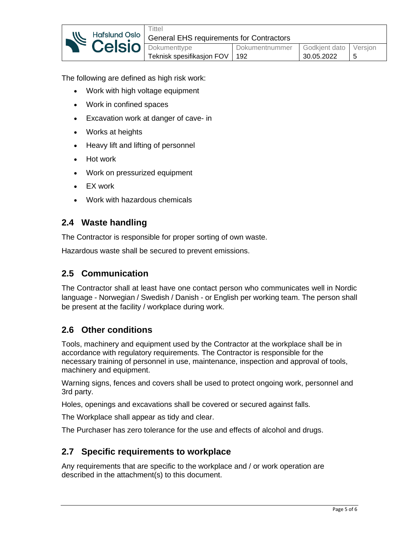| <b>Relsion</b> Dokumenttype | ™ittel<br>Hafslund Oslo   General EHS requirements for Contractors |                                 |                |                       |  |
|-----------------------------|--------------------------------------------------------------------|---------------------------------|----------------|-----------------------|--|
|                             |                                                                    |                                 |                |                       |  |
|                             |                                                                    |                                 | Dokumentnummer | Godkjent dato Versjon |  |
|                             |                                                                    | Teknisk spesifikasjon FOV   192 |                | 30.05.2022            |  |

The following are defined as high risk work:

- Work with high voltage equipment
- Work in confined spaces
- Excavation work at danger of cave- in
- Works at heights
- Heavy lift and lifting of personnel
- Hot work
- Work on pressurized equipment
- EX work
- Work with hazardous chemicals

#### **2.4 Waste handling**

The Contractor is responsible for proper sorting of own waste.

Hazardous waste shall be secured to prevent emissions.

#### **2.5 Communication**

The Contractor shall at least have one contact person who communicates well in Nordic language - Norwegian / Swedish / Danish - or English per working team. The person shall be present at the facility / workplace during work.

### **2.6 Other conditions**

Tools, machinery and equipment used by the Contractor at the workplace shall be in accordance with regulatory requirements. The Contractor is responsible for the necessary training of personnel in use, maintenance, inspection and approval of tools, machinery and equipment.

Warning signs, fences and covers shall be used to protect ongoing work, personnel and 3rd party.

Holes, openings and excavations shall be covered or secured against falls.

The Workplace shall appear as tidy and clear.

The Purchaser has zero tolerance for the use and effects of alcohol and drugs.

### **2.7 Specific requirements to workplace**

Any requirements that are specific to the workplace and / or work operation are described in the attachment(s) to this document.